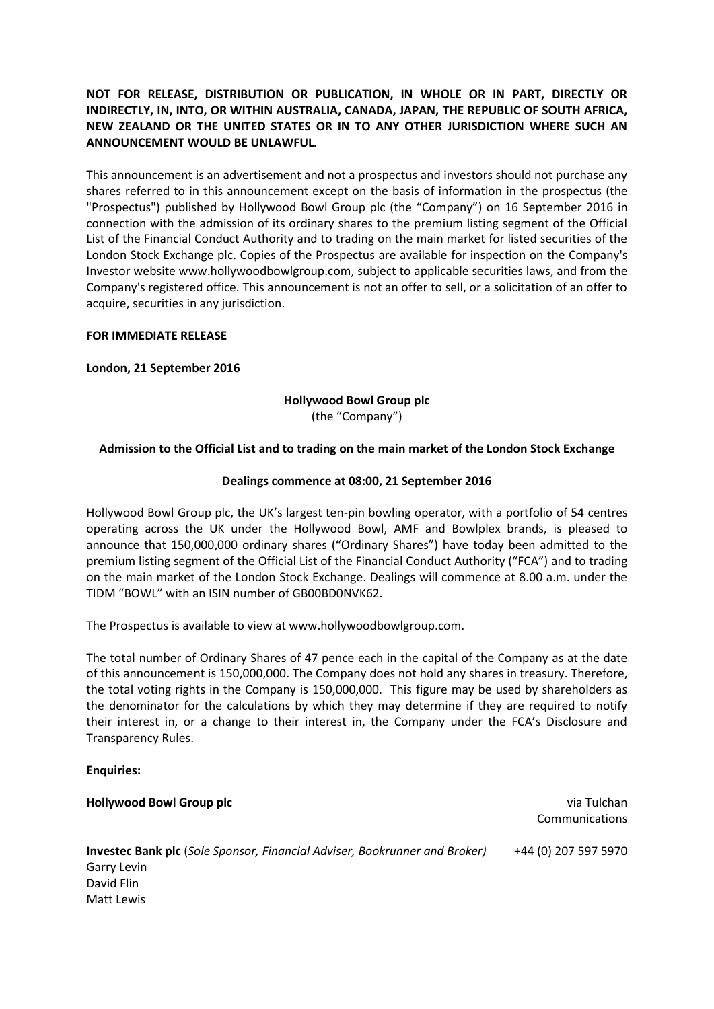# **NOT FOR RELEASE, DISTRIBUTION OR PUBLICATION, IN WHOLE OR IN PART, DIRECTLY OR INDIRECTLY, IN, INTO, OR WITHIN AUSTRALIA, CANADA, JAPAN, THE REPUBLIC OF SOUTH AFRICA, NEW ZEALAND OR THE UNITED STATES OR IN TO ANY OTHER JURISDICTION WHERE SUCH AN ANNOUNCEMENT WOULD BE UNLAWFUL.**

This announcement is an advertisement and not a prospectus and investors should not purchase any shares referred to in this announcement except on the basis of information in the prospectus (the "Prospectus") published by Hollywood Bowl Group plc (the "Company") on 16 September 2016 in connection with the admission of its ordinary shares to the premium listing segment of the Official List of the Financial Conduct Authority and to trading on the main market for listed securities of the London Stock Exchange plc. Copies of the Prospectus are available for inspection on the Company's Investor website www.hollywoodbowlgroup.com, subject to applicable securities laws, and from the Company's registered office. This announcement is not an offer to sell, or a solicitation of an offer to acquire, securities in any jurisdiction.

## **FOR IMMEDIATE RELEASE**

## **London, 21 September 2016**

## **Hollywood Bowl Group plc** (the "Company")

# **Admission to the Official List and to trading on the main market of the London Stock Exchange**

## **Dealings commence at 08:00, 21 September 2016**

Hollywood Bowl Group plc, the UK's largest ten-pin bowling operator, with a portfolio of 54 centres operating across the UK under the Hollywood Bowl, AMF and Bowlplex brands, is pleased to announce that 150,000,000 ordinary shares ("Ordinary Shares") have today been admitted to the premium listing segment of the Official List of the Financial Conduct Authority ("FCA") and to trading on the main market of the London Stock Exchange. Dealings will commence at 8.00 a.m. under the TIDM "BOWL" with an ISIN number of GB00BD0NVK62.

The Prospectus is available to view at www.hollywoodbowlgroup.com.

The total number of Ordinary Shares of 47 pence each in the capital of the Company as at the date of this announcement is 150,000,000. The Company does not hold any shares in treasury. Therefore, the total voting rights in the Company is 150,000,000. This figure may be used by shareholders as the denominator for the calculations by which they may determine if they are required to notify their interest in, or a change to their interest in, the Company under the FCA's Disclosure and Transparency Rules.

#### **Enquiries:**

**Hollywood Bowl Group plc** via Tulchan Communications **Investec Bank plc** (*Sole Sponsor, Financial Adviser, Bookrunner and Broker)* Garry Levin David Flin Matt Lewis +44 (0) 207 597 5970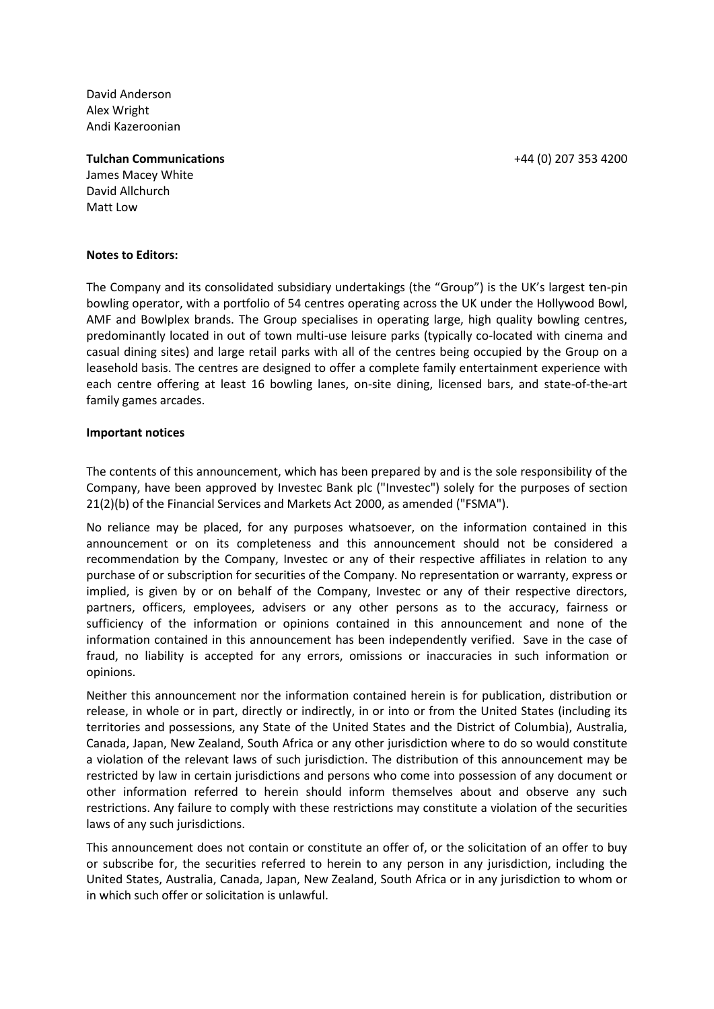David Anderson Alex Wright Andi Kazeroonian

#### **Tulchan Communications**

James Macey White David Allchurch Matt Low

#### **Notes to Editors:**

The Company and its consolidated subsidiary undertakings (the "Group") is the UK's largest ten-pin bowling operator, with a portfolio of 54 centres operating across the UK under the Hollywood Bowl, AMF and Bowlplex brands. The Group specialises in operating large, high quality bowling centres, predominantly located in out of town multi-use leisure parks (typically co-located with cinema and casual dining sites) and large retail parks with all of the centres being occupied by the Group on a leasehold basis. The centres are designed to offer a complete family entertainment experience with each centre offering at least 16 bowling lanes, on-site dining, licensed bars, and state-of-the-art family games arcades.

#### **Important notices**

The contents of this announcement, which has been prepared by and is the sole responsibility of the Company, have been approved by Investec Bank plc ("Investec") solely for the purposes of section 21(2)(b) of the Financial Services and Markets Act 2000, as amended ("FSMA").

No reliance may be placed, for any purposes whatsoever, on the information contained in this announcement or on its completeness and this announcement should not be considered a recommendation by the Company, Investec or any of their respective affiliates in relation to any purchase of or subscription for securities of the Company. No representation or warranty, express or implied, is given by or on behalf of the Company, Investec or any of their respective directors, partners, officers, employees, advisers or any other persons as to the accuracy, fairness or sufficiency of the information or opinions contained in this announcement and none of the information contained in this announcement has been independently verified. Save in the case of fraud, no liability is accepted for any errors, omissions or inaccuracies in such information or opinions.

Neither this announcement nor the information contained herein is for publication, distribution or release, in whole or in part, directly or indirectly, in or into or from the United States (including its territories and possessions, any State of the United States and the District of Columbia), Australia, Canada, Japan, New Zealand, South Africa or any other jurisdiction where to do so would constitute a violation of the relevant laws of such jurisdiction. The distribution of this announcement may be restricted by law in certain jurisdictions and persons who come into possession of any document or other information referred to herein should inform themselves about and observe any such restrictions. Any failure to comply with these restrictions may constitute a violation of the securities laws of any such jurisdictions.

This announcement does not contain or constitute an offer of, or the solicitation of an offer to buy or subscribe for, the securities referred to herein to any person in any jurisdiction, including the United States, Australia, Canada, Japan, New Zealand, South Africa or in any jurisdiction to whom or in which such offer or solicitation is unlawful.

+44 (0) 207 353 4200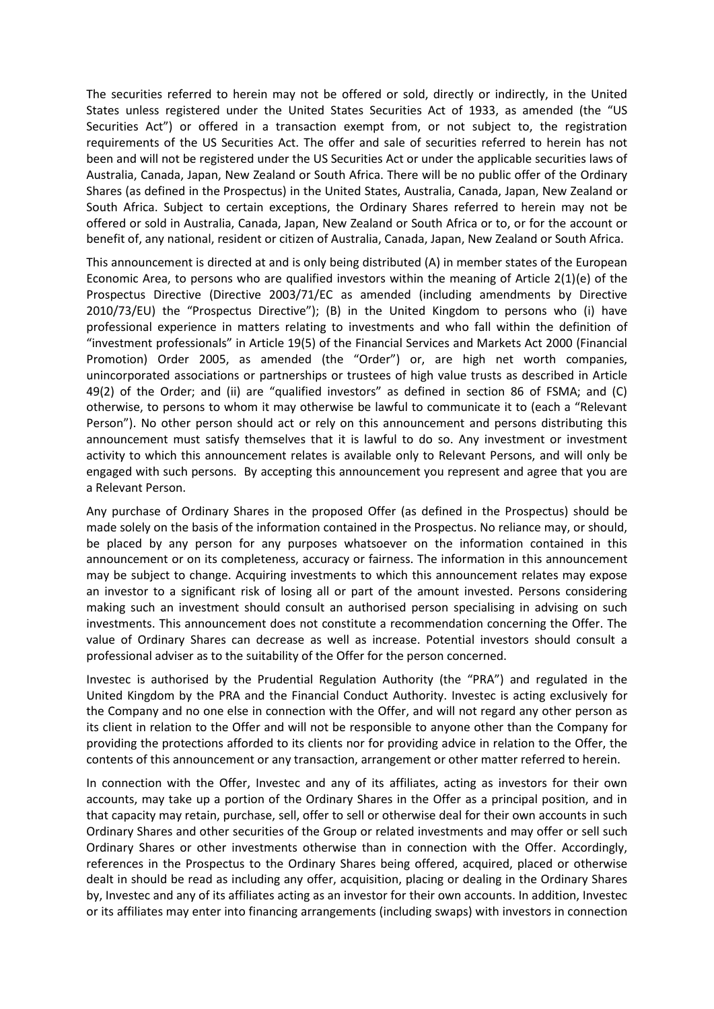The securities referred to herein may not be offered or sold, directly or indirectly, in the United States unless registered under the United States Securities Act of 1933, as amended (the "US Securities Act") or offered in a transaction exempt from, or not subject to, the registration requirements of the US Securities Act. The offer and sale of securities referred to herein has not been and will not be registered under the US Securities Act or under the applicable securities laws of Australia, Canada, Japan, New Zealand or South Africa. There will be no public offer of the Ordinary Shares (as defined in the Prospectus) in the United States, Australia, Canada, Japan, New Zealand or South Africa. Subject to certain exceptions, the Ordinary Shares referred to herein may not be offered or sold in Australia, Canada, Japan, New Zealand or South Africa or to, or for the account or benefit of, any national, resident or citizen of Australia, Canada, Japan, New Zealand or South Africa.

This announcement is directed at and is only being distributed (A) in member states of the European Economic Area, to persons who are qualified investors within the meaning of Article 2(1)(e) of the Prospectus Directive (Directive 2003/71/EC as amended (including amendments by Directive 2010/73/EU) the "Prospectus Directive"); (B) in the United Kingdom to persons who (i) have professional experience in matters relating to investments and who fall within the definition of "investment professionals" in Article 19(5) of the Financial Services and Markets Act 2000 (Financial Promotion) Order 2005, as amended (the "Order") or, are high net worth companies, unincorporated associations or partnerships or trustees of high value trusts as described in Article 49(2) of the Order; and (ii) are "qualified investors" as defined in section 86 of FSMA; and (C) otherwise, to persons to whom it may otherwise be lawful to communicate it to (each a "Relevant Person"). No other person should act or rely on this announcement and persons distributing this announcement must satisfy themselves that it is lawful to do so. Any investment or investment activity to which this announcement relates is available only to Relevant Persons, and will only be engaged with such persons. By accepting this announcement you represent and agree that you are a Relevant Person.

Any purchase of Ordinary Shares in the proposed Offer (as defined in the Prospectus) should be made solely on the basis of the information contained in the Prospectus. No reliance may, or should, be placed by any person for any purposes whatsoever on the information contained in this announcement or on its completeness, accuracy or fairness. The information in this announcement may be subject to change. Acquiring investments to which this announcement relates may expose an investor to a significant risk of losing all or part of the amount invested. Persons considering making such an investment should consult an authorised person specialising in advising on such investments. This announcement does not constitute a recommendation concerning the Offer. The value of Ordinary Shares can decrease as well as increase. Potential investors should consult a professional adviser as to the suitability of the Offer for the person concerned.

Investec is authorised by the Prudential Regulation Authority (the "PRA") and regulated in the United Kingdom by the PRA and the Financial Conduct Authority. Investec is acting exclusively for the Company and no one else in connection with the Offer, and will not regard any other person as its client in relation to the Offer and will not be responsible to anyone other than the Company for providing the protections afforded to its clients nor for providing advice in relation to the Offer, the contents of this announcement or any transaction, arrangement or other matter referred to herein.

In connection with the Offer, Investec and any of its affiliates, acting as investors for their own accounts, may take up a portion of the Ordinary Shares in the Offer as a principal position, and in that capacity may retain, purchase, sell, offer to sell or otherwise deal for their own accounts in such Ordinary Shares and other securities of the Group or related investments and may offer or sell such Ordinary Shares or other investments otherwise than in connection with the Offer. Accordingly, references in the Prospectus to the Ordinary Shares being offered, acquired, placed or otherwise dealt in should be read as including any offer, acquisition, placing or dealing in the Ordinary Shares by, Investec and any of its affiliates acting as an investor for their own accounts. In addition, Investec or its affiliates may enter into financing arrangements (including swaps) with investors in connection